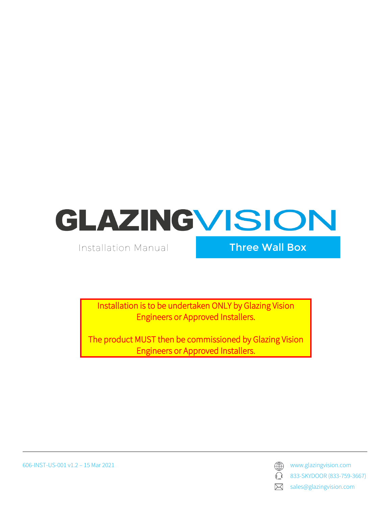**Installation Manual** 

Three Wall Box

Installation is to be undertaken ONLY by Glazing Vision Engineers or Approved Installers.

The product MUST then be commissioned by Glazing Vision Engineers or Approved Installers.

 $\bigcap$ 833-SKYDOOR (833-759-3667)

sales@glazingvision.com  $\boxtimes$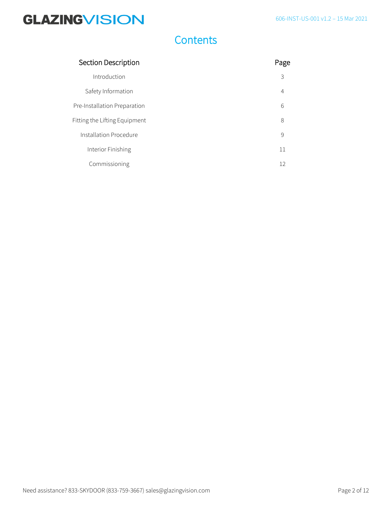### **Contents**

| Section Description           | Page           |
|-------------------------------|----------------|
| Introduction                  | 3              |
| Safety Information            | $\overline{4}$ |
| Pre-Installation Preparation  | 6              |
| Fitting the Lifting Equipment | 8              |
| Installation Procedure        | 9              |
| Interior Finishing            | 11             |
| Commissioning                 | 12             |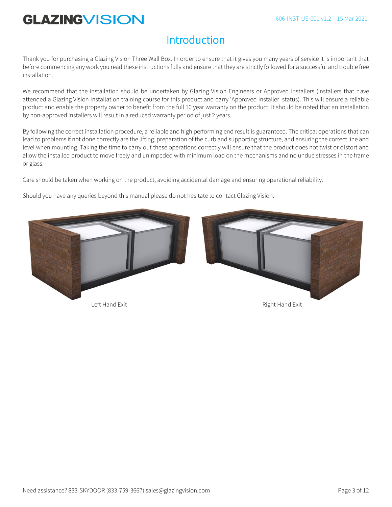### **Introduction**

Thank you for purchasing a Glazing Vision Three Wall Box. In order to ensure that it gives you many years of service it is important that before commencing any work you read these instructions fully and ensure that they are strictly followed for a successful and trouble free installation.

We recommend that the installation should be undertaken by Glazing Vision Engineers or Approved Installers (installers that have attended a Glazing Vision Installation training course for this product and carry 'Approved Installer' status). This will ensure a reliable product and enable the property owner to benefit from the full 10 year warranty on the product. It should be noted that an installation by non-approved installers will result in a reduced warranty period of just 2 years.

By following the correct installation procedure, a reliable and high performing end result is guaranteed. The critical operations that can lead to problems if not done correctly are the lifting, preparation of the curb and supporting structure, and ensuring the correct line and level when mounting. Taking the time to carry out these operations correctly will ensure that the product does not twist or distort and allow the installed product to move freely and unimpeded with minimum load on the mechanisms and no undue stresses in the frame or glass.

Care should be taken when working on the product, avoiding accidental damage and ensuring operational reliability.

Should you have any queries beyond this manual please do not hesitate to contact Glazing Vision.

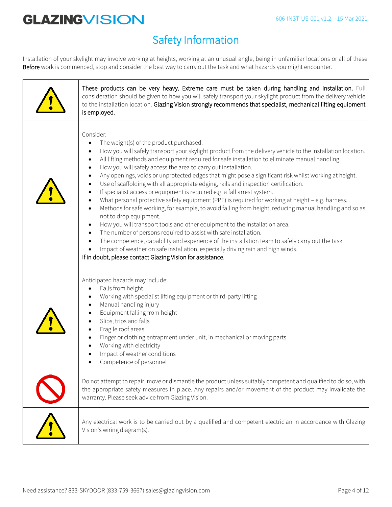### Safety Information

Installation of your skylight may involve working at heights, working at an unusual angle, being in unfamiliar locations or all of these. Before work is commenced, stop and consider the best way to carry out the task and what hazards you might encounter.

| These products can be very heavy. Extreme care must be taken during handling and installation. Full<br>consideration should be given to how you will safely transport your skylight product from the delivery vehicle<br>to the installation location. Glazing Vision strongly recommends that specialist, mechanical lifting equipment<br>is employed.                                                                                                                                                                                                                                                                                                                                                                                                                                                                                                                                                                                                                                                                                                                                                                                                                                                                                                                                                                                                                                                                  |
|--------------------------------------------------------------------------------------------------------------------------------------------------------------------------------------------------------------------------------------------------------------------------------------------------------------------------------------------------------------------------------------------------------------------------------------------------------------------------------------------------------------------------------------------------------------------------------------------------------------------------------------------------------------------------------------------------------------------------------------------------------------------------------------------------------------------------------------------------------------------------------------------------------------------------------------------------------------------------------------------------------------------------------------------------------------------------------------------------------------------------------------------------------------------------------------------------------------------------------------------------------------------------------------------------------------------------------------------------------------------------------------------------------------------------|
| Consider:<br>The weight(s) of the product purchased.<br>$\bullet$<br>How you will safely transport your skylight product from the delivery vehicle to the installation location.<br>$\bullet$<br>All lifting methods and equipment required for safe installation to eliminate manual handling.<br>$\bullet$<br>How you will safely access the area to carry out installation.<br>$\bullet$<br>Any openings, voids or unprotected edges that might pose a significant risk whilst working at height.<br>$\bullet$<br>Use of scaffolding with all appropriate edging, rails and inspection certification.<br>$\bullet$<br>If specialist access or equipment is required e.g. a fall arrest system.<br>٠<br>What personal protective safety equipment (PPE) is required for working at height - e.g. harness.<br>$\bullet$<br>Methods for safe working, for example, to avoid falling from height, reducing manual handling and so as<br>$\bullet$<br>not to drop equipment.<br>How you will transport tools and other equipment to the installation area.<br>$\bullet$<br>The number of persons required to assist with safe installation.<br>$\bullet$<br>The competence, capability and experience of the installation team to safely carry out the task.<br>$\bullet$<br>Impact of weather on safe installation, especially driving rain and high winds.<br>If in doubt, please contact Glazing Vision for assistance. |
| Anticipated hazards may include:<br>Falls from height<br>$\bullet$<br>Working with specialist lifting equipment or third-party lifting<br>Manual handling injury<br>$\bullet$<br>Equipment falling from height<br>Slips, trips and falls<br>Fragile roof areas.<br>Finger or clothing entrapment under unit, in mechanical or moving parts<br>$\bullet$<br>Working with electricity<br>Impact of weather conditions<br>Competence of personnel<br>$\bullet$                                                                                                                                                                                                                                                                                                                                                                                                                                                                                                                                                                                                                                                                                                                                                                                                                                                                                                                                                              |
| Do not attempt to repair, move or dismantle the product unless suitably competent and qualified to do so, with<br>the appropriate safety measures in place. Any repairs and/or movement of the product may invalidate the<br>warranty. Please seek advice from Glazing Vision.                                                                                                                                                                                                                                                                                                                                                                                                                                                                                                                                                                                                                                                                                                                                                                                                                                                                                                                                                                                                                                                                                                                                           |
| Any electrical work is to be carried out by a qualified and competent electrician in accordance with Glazing<br>Vision's wiring diagram(s).                                                                                                                                                                                                                                                                                                                                                                                                                                                                                                                                                                                                                                                                                                                                                                                                                                                                                                                                                                                                                                                                                                                                                                                                                                                                              |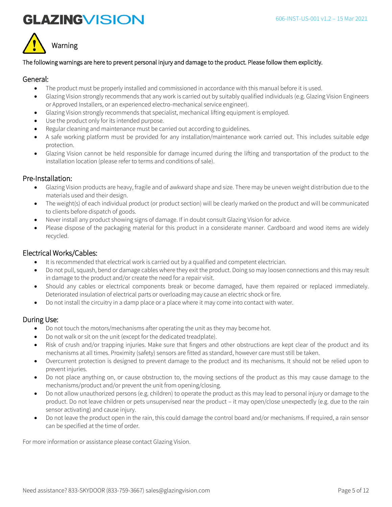



#### The following warnings are here to prevent personal injury and damage to the product. Please follow them explicitly.

#### General:

- The product must be properly installed and commissioned in accordance with this manual before it is used.
- Glazing Vision strongly recommends that any work is carried out by suitably qualified individuals (e.g. Glazing Vision Engineers or Approved Installers, or an experienced electro-mechanical service engineer).
- Glazing Vision strongly recommends that specialist, mechanical lifting equipment is employed.
- Use the product only for its intended purpose.
- Regular cleaning and maintenance must be carried out according to guidelines.
- A safe working platform must be provided for any installation/maintenance work carried out. This includes suitable edge protection.
- Glazing Vision cannot be held responsible for damage incurred during the lifting and transportation of the product to the installation location (please refer to terms and conditions of sale).

#### Pre-Installation:

- Glazing Vision products are heavy, fragile and of awkward shape and size. There may be uneven weight distribution due to the materials used and their design.
- The weight(s) of each individual product (or product section) will be clearly marked on the product and will be communicated to clients before dispatch of goods.
- Never install any product showing signs of damage. If in doubt consult Glazing Vision for advice.
- Please dispose of the packaging material for this product in a considerate manner. Cardboard and wood items are widely recycled.

#### Electrical Works/Cables:

- It is recommended that electrical work is carried out by a qualified and competent electrician.
- Do not pull, squash, bend or damage cables where they exit the product. Doing so may loosen connections and this may result in damage to the product and/or create the need for a repair visit.
- Should any cables or electrical components break or become damaged, have them repaired or replaced immediately. Deteriorated insulation of electrical parts or overloading may cause an electric shock or fire.
- Do not install the circuitry in a damp place or a place where it may come into contact with water.

### During Use:

- Do not touch the motors/mechanisms after operating the unit as they may become hot.
- Do not walk or sit on the unit (except for the dedicated treadplate).
- Risk of crush and/or trapping injuries. Make sure that fingers and other obstructions are kept clear of the product and its mechanisms at all times. Proximity (safety) sensors are fitted as standard, however care must still be taken.
- Overcurrent protection is designed to prevent damage to the product and its mechanisms. It should not be relied upon to prevent injuries.
- Do not place anything on, or cause obstruction to, the moving sections of the product as this may cause damage to the mechanisms/product and/or prevent the unit from opening/closing.
- Do not allow unauthorized persons (e.g. children) to operate the product as this may lead to personal injury or damage to the product. Do not leave children or pets unsupervised near the product – it may open/close unexpectedly (e.g. due to the rain sensor activating) and cause injury.
- Do not leave the product open in the rain, this could damage the control board and/or mechanisms. If required, a rain sensor can be specified at the time of order.

For more information or assistance please contact Glazing Vision.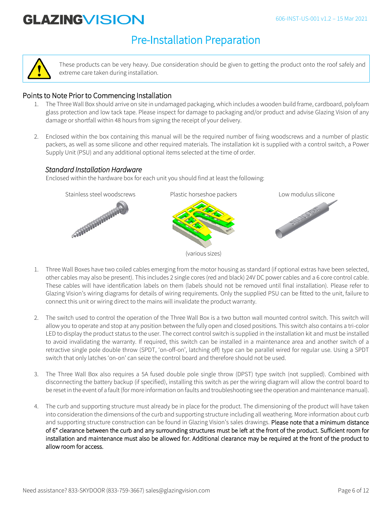### Pre-Installation Preparation



These products can be very heavy. Due consideration should be given to getting the product onto the roof safely and extreme care taken during installation.

### Points to Note Prior to Commencing Installation

- 1. The Three Wall Box should arrive on site in undamaged packaging, which includes a wooden build frame, cardboard, polyfoam glass protection and low tack tape. Please inspect for damage to packaging and/or product and advise Glazing Vision of any damage or shortfall within 48 hours from signing the receipt of your delivery.
- 2. Enclosed within the box containing this manual will be the required number of fixing woodscrews and a number of plastic packers, as well as some silicone and other required materials. The installation kit is supplied with a control switch, a Power Supply Unit (PSU) and any additional optional items selected at the time of order.

### *Standard Installation Hardware*

Enclosed within the hardware box for each unit you should find at least the following:



- 1. Three Wall Boxes have two coiled cables emerging from the motor housing as standard (if optional extras have been selected, other cables may also be present). This includes 2 single cores (red and black) 24V DC power cables and a 6 core control cable. These cables will have identification labels on them (labels should not be removed until final installation). Please refer to Glazing Vision's wiring diagrams for details of wiring requirements. Only the supplied PSU can be fitted to the unit, failure to connect this unit or wiring direct to the mains will invalidate the product warranty.
- 2. The switch used to control the operation of the Three Wall Box is a two button wall mounted control switch. This switch will allow you to operate and stop at any position between the fully open and closed positions. This switch also contains a tri-color LED to display the product status to the user. The correct control switch is supplied in the installation kit and must be installed to avoid invalidating the warranty. If required, this switch can be installed in a maintenance area and another switch of a retractive single pole double throw (SPDT, 'on-off-on', latching off) type can be parallel wired for regular use. Using a SPDT switch that only latches 'on-on' can seize the control board and therefore should not be used.
- 3. The Three Wall Box also requires a 5A fused double pole single throw (DPST) type switch (not supplied). Combined with disconnecting the battery backup (if specified), installing this switch as per the wiring diagram will allow the control board to be reset in the event of a fault (for more information on faults and troubleshooting see the operation and maintenance manual).
- 4. The curb and supporting structure must already be in place for the product. The dimensioning of the product will have taken into consideration the dimensions of the curb and supporting structure including all weathering. More information about curb and supporting structure construction can be found in Glazing Vision's sales drawings. Please note that a minimum distance of 6" clearance between the curb and any surrounding structures must be left at the front of the product. Sufficient room for installation and maintenance must also be allowed for. Additional clearance may be required at the front of the product to allow room for access.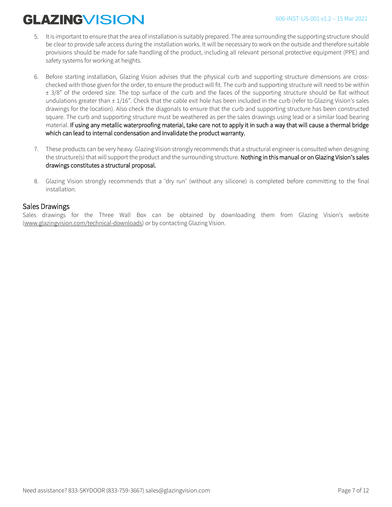- 5. It is important to ensure that the area of installation is suitably prepared. The area surrounding the supporting structure should be clear to provide safe access during the installation works. It will be necessary to work on the outside and therefore suitable provisions should be made for safe handling of the product, including all relevant personal protective equipment (PPE) and safety systems for working at heights.
- 6. Before starting installation, Glazing Vision advises that the physical curb and supporting structure dimensions are crosschecked with those given for the order, to ensure the product will fit. The curb and supporting structure will need to be within  $\pm$  3/8" of the ordered size. The top surface of the curb and the faces of the supporting structure should be flat without undulations greater than ± 1/16". Check that the cable exit hole has been included in the curb (refer to Glazing Vision's sales drawings for the location). Also check the diagonals to ensure that the curb and supporting structure has been constructed square. The curb and supporting structure must be weathered as per the sales drawings using lead or a similar load bearing material. If using any metallic waterproofing material, take care not to apply it in such a way that will cause a thermal bridge which can lead to internal condensation and invalidate the product warranty.
- 7. These products can be very heavy. Glazing Vision strongly recommends that a structural engineer is consulted when designing the structure(s) that will support the product and the surrounding structure. Nothing in this manual or on Glazing Vision's sales drawings constitutes a structural proposal.
- 8. Glazing Vision strongly recommends that a 'dry run' (without any silicone) is completed before committing to the final installation.

### Sales Drawings

Sales drawings for the Three Wall Box can be obtained by downloading them from Glazing Vision's website [\(www.glazingvision.com/technical-downloads\)](http://www.glazingvision.com/technical-downloads) or by contacting Glazing Vision.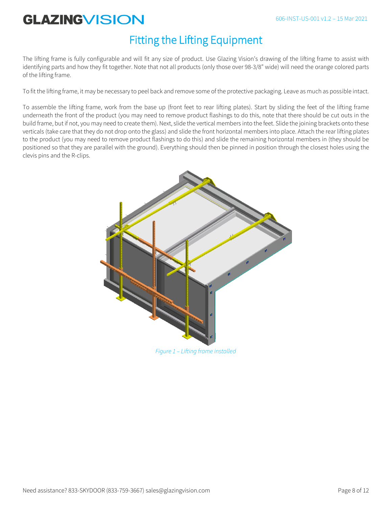### Fitting the Lifting Equipment

The lifting frame is fully configurable and will fit any size of product. Use Glazing Vision's drawing of the lifting frame to assist with identifying parts and how they fit together. Note that not all products (only those over 98-3/8" wide) will need the orange colored parts of the lifting frame.

To fit the lifting frame, it may be necessary to peel back and remove some of the protective packaging. Leave as much as possible intact.

To assemble the lifting frame, work from the base up (front feet to rear lifting plates). Start by sliding the feet of the lifting frame underneath the front of the product (you may need to remove product flashings to do this, note that there should be cut outs in the build frame, but if not, you may need to create them). Next, slide the vertical members into the feet. Slide the joining brackets onto these verticals (take care that they do not drop onto the glass) and slide the front horizontal members into place. Attach the rear lifting plates to the product (you may need to remove product flashings to do this) and slide the remaining horizontal members in (they should be positioned so that they are parallel with the ground). Everything should then be pinned in position through the closest holes using the clevis pins and the R-clips.



*Figure 1 – Lifting frame installed*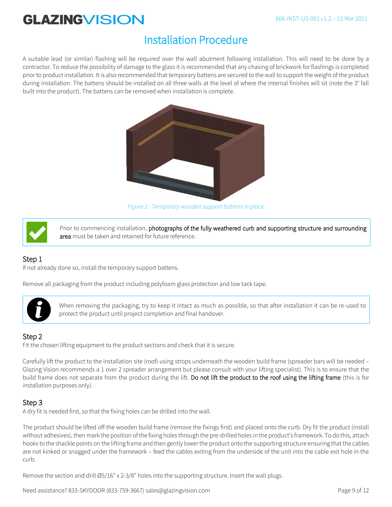#### 606-INST-US-001 v1.2 – 15 Mar 2021

# **GLAZINGVISION**

### Installation Procedure

A suitable lead (or similar) flashing will be required over the wall abutment following installation. This will need to be done by a contractor. To reduce the possibility of damage to the glass it is recommended that any chasing of brickwork for flashings is completed prior to product installation. It is also recommended that temporary battens are secured to the wall to support the weight of the product during installation. The battens should be installed on all three walls at the level of where the internal finishes will sit (note the 3° fall built into the product). The battens can be removed when installation is complete.



*Figure 2 - Temporary wooden support battens in place*



Prior to commencing installation, photographs of the fully weathered curb and supporting structure and surrounding area must be taken and retained for future reference.

### Step 1

If not already done so, install the temporary support battens.

Remove all packaging from the product including polyfoam glass protection and low tack tape.



When removing the packaging, try to keep it intact as much as possible, so that after installation it can be re-used to protect the product until project completion and final handover.

### Step 2

Fit the chosen lifting equipment to the product sections and check that it is secure.

Carefully lift the product to the installation site (roof) using strops underneath the wooden build frame (spreader bars will be needed – Glazing Vision recommends a 1 over 2 spreader arrangement but please consult with your lifting specialist). This is to ensure that the build frame does not separate from the product during the lift. Do not lift the product to the roof using the lifting frame (this is for installation purposes only).

### Step 3

A dry fit is needed first, so that the fixing holes can be drilled into the wall.

The product should be lifted off the wooden build frame (remove the fixings first) and placed onto the curb. Dry fit the product (install without adhesives), then mark the position of the fixing holes through the pre-drilled holes in the product's framework. To do this, attach hooks to the shackle points on the lifting frame and then gently lower the product onto the supporting structure ensuring that the cables are not kinked or snagged under the framework – feed the cables exiting from the underside of the unit into the cable exit hole in the curb.

Remove the section and drill Ø5/16" x 2-3/8" holes into the supporting structure. Insert the wall plugs.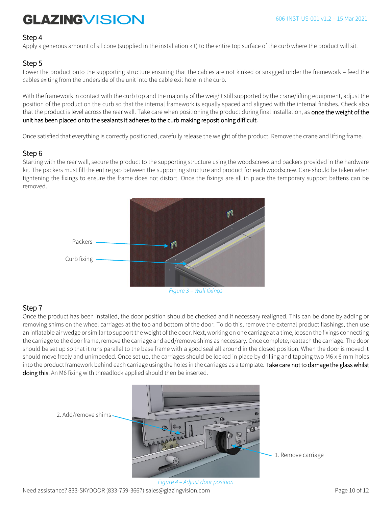#### Step 4

Apply a generous amount of silicone (supplied in the installation kit) to the entire top surface of the curb where the product will sit.

### Step 5

Lower the product onto the supporting structure ensuring that the cables are not kinked or snagged under the framework – feed the cables exiting from the underside of the unit into the cable exit hole in the curb.

With the framework in contact with the curb top and the majority of the weight still supported by the crane/lifting equipment, adjust the position of the product on the curb so that the internal framework is equally spaced and aligned with the internal finishes. Check also that the product is level across the rear wall. Take care when positioning the product during final installation, as once the weight of the unit has been placed onto the sealants it adheres to the curb making repositioning difficult.

Once satisfied that everything is correctly positioned, carefully release the weight of the product. Remove the crane and lifting frame.

### Step 6

Starting with the rear wall, secure the product to the supporting structure using the woodscrews and packers provided in the hardware kit. The packers must fill the entire gap between the supporting structure and product for each woodscrew. Care should be taken when tightening the fixings to ensure the frame does not distort. Once the fixings are all in place the temporary support battens can be removed.



### Step 7

Once the product has been installed, the door position should be checked and if necessary realigned. This can be done by adding or removing shims on the wheel carriages at the top and bottom of the door. To do this, remove the external product flashings, then use an inflatable air wedge or similar to support the weight of the door. Next, working on one carriage at a time, loosen the fixings connecting the carriage to the door frame, remove the carriage and add/remove shims as necessary. Once complete, reattach the carriage. The door should be set up so that it runs parallel to the base frame with a good seal all around in the closed position. When the door is moved it should move freely and unimpeded. Once set up, the carriages should be locked in place by drilling and tapping two M6 x 6 mm holes into the product framework behind each carriage using the holes in the carriages as a template. Take care not to damage the glass whilst doing this. An M6 fixing with threadlock applied should then be inserted.



Need assistance? 833-SKYDOOR (833-759-3667) sales@glazingvision.com Page 10 of 12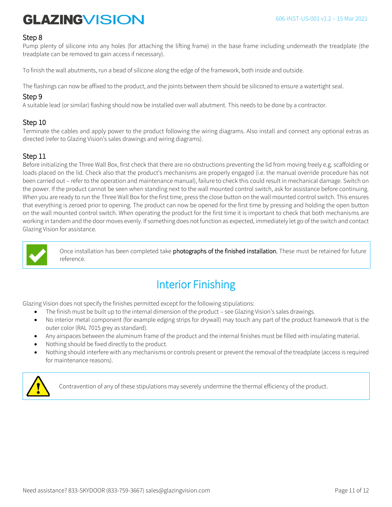### Step 8

Pump plenty of silicone into any holes (for attaching the lifting frame) in the base frame including underneath the treadplate (the treadplate can be removed to gain access if necessary).

To finish the wall abutments, run a bead of silicone along the edge of the framework, both inside and outside.

The flashings can now be affixed to the product, and the joints between them should be siliconed to ensure a watertight seal.

### Step 9

A suitable lead (or similar) flashing should now be installed over wall abutment. This needs to be done by a contractor.

### Step 10

Terminate the cables and apply power to the product following the wiring diagrams. Also install and connect any optional extras as directed (refer to Glazing Vision's sales drawings and wiring diagrams).

### Step 11

Before initializing the Three Wall Box, first check that there are no obstructions preventing the lid from moving freely e.g. scaffolding or loads placed on the lid. Check also that the product's mechanisms are properly engaged (i.e. the manual override procedure has not been carried out – refer to the operation and maintenance manual), failure to check this could result in mechanical damage. Switch on the power. If the product cannot be seen when standing next to the wall mounted control switch, ask for assistance before continuing. When you are ready to run the Three Wall Box for the first time, press the close button on the wall mounted control switch. This ensures that everything is zeroed prior to opening. The product can now be opened for the first time by pressing and holding the open button on the wall mounted control switch. When operating the product for the first time it is important to check that both mechanisms are working in tandem and the door moves evenly. If something does not function as expected, immediately let go of the switch and contact Glazing Vision for assistance.



Once installation has been completed take photographs of the finished installation. These must be retained for future reference.

### Interior Finishing

Glazing Vision does not specify the finishes permitted except for the following stipulations:

- The finish must be built up to the internal dimension of the product see Glazing Vision's sales drawings.
- No interior metal component (for example edging strips for drywall) may touch any part of the product framework that is the outer color (RAL 7015 grey as standard).
- Any airspaces between the aluminum frame of the product and the internal finishes must be filled with insulating material.
- Nothing should be fixed directly to the product.
- Nothing should interfere with any mechanisms or controls present or prevent the removal of the treadplate (access is required for maintenance reasons).



Contravention of any of these stipulations may severely undermine the thermal efficiency of the product.